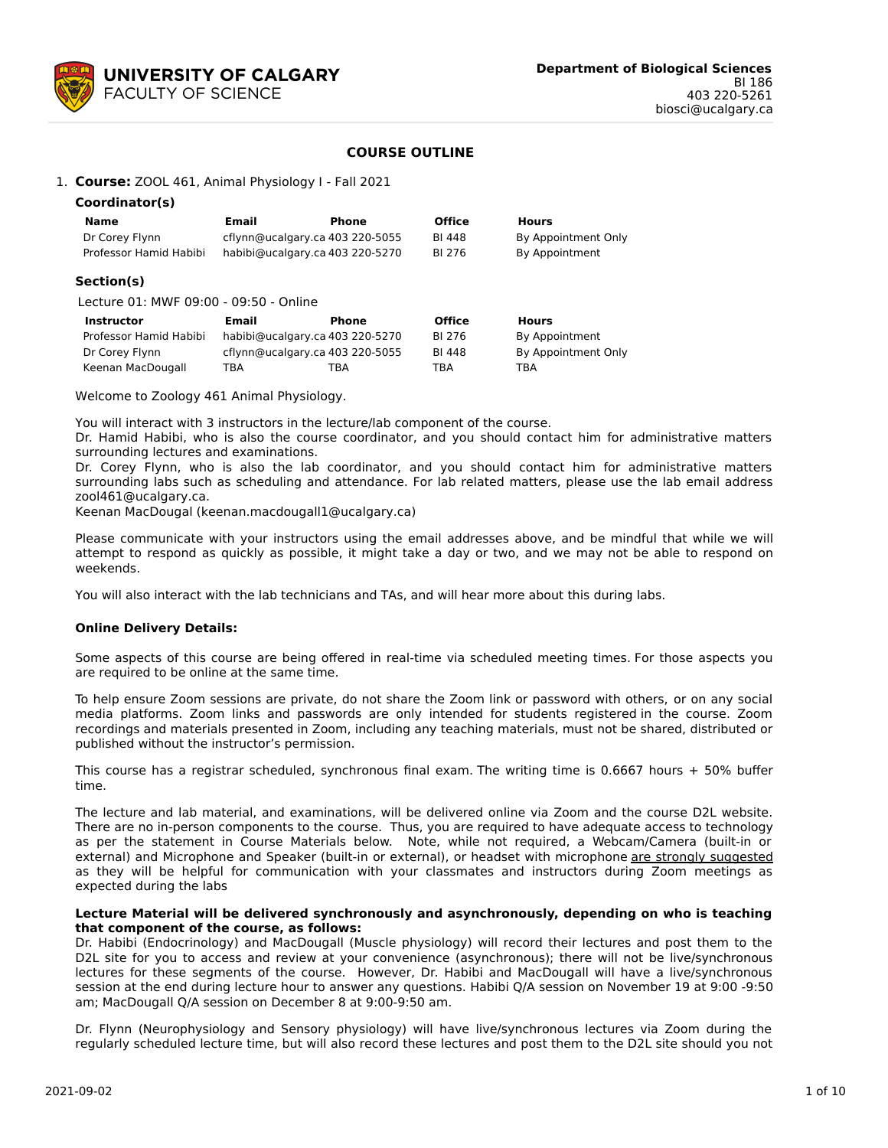

# **COURSE OUTLINE**

1. **Course:** ZOOL 461, Animal Physiology I - Fall 2021

| Coordinator(s)                         |                                 |              |               |                     |
|----------------------------------------|---------------------------------|--------------|---------------|---------------------|
| <b>Name</b>                            | Email                           | Phone        | <b>Office</b> | <b>Hours</b>        |
| Dr Corey Flynn                         | cflynn@ucalgary.ca 403 220-5055 |              | BI 448        | By Appointment Only |
| Professor Hamid Habibi                 | habibi@ucalgary.ca 403 220-5270 |              | BI 276        | By Appointment      |
| Section(s)                             |                                 |              |               |                     |
| Lecture 01: MWF 09:00 - 09:50 - Online |                                 |              |               |                     |
| <b>Instructor</b>                      | <b>Email</b>                    | <b>Phone</b> | <b>Office</b> | <b>Hours</b>        |
| Professor Hamid Habibi                 | habibi@ucalgary.ca 403 220-5270 |              | BI 276        | By Appointment      |
| Dr Corey Flynn                         | cflynn@ucalgary.ca 403 220-5055 |              | BI 448        | By Appointment Only |

Welcome to Zoology 461 Animal Physiology.

You will interact with 3 instructors in the lecture/lab component of the course.

Keenan MacDougall TBA TBA TBA TBA

Dr. Hamid Habibi, who is also the course coordinator, and you should contact him for administrative matters surrounding lectures and examinations.

Dr. Corey Flynn, who is also the lab coordinator, and you should contact him for administrative matters surrounding labs such as scheduling and attendance. For lab related matters, please use the lab email address zool461@ucalgary.ca.

Keenan MacDougal (keenan.macdougall1@ucalgary.ca)

Please communicate with your instructors using the email addresses above, and be mindful that while we will attempt to respond as quickly as possible, it might take a day or two, and we may not be able to respond on weekends.

You will also interact with the lab technicians and TAs, and will hear more about this during labs.

## **Online Delivery Details:**

Some aspects of this course are being offered in real-time via scheduled meeting times. For those aspects you are required to be online at the same time.

To help ensure Zoom sessions are private, do not share the Zoom link or password with others, or on any social media platforms. Zoom links and passwords are only intended for students registered in the course. Zoom recordings and materials presented in Zoom, including any teaching materials, must not be shared, distributed or published without the instructor's permission.

This course has a registrar scheduled, synchronous final exam. The writing time is 0.6667 hours + 50% buffer time.

The lecture and lab material, and examinations, will be delivered online via Zoom and the course D2L website. There are no in-person components to the course. Thus, you are required to have adequate access to technology as per the statement in Course Materials below. Note, while not required, a Webcam/Camera (built-in or external) and Microphone and Speaker (built-in or external), or headset with microphone are strongly suggested as they will be helpful for communication with your classmates and instructors during Zoom meetings as expected during the labs

#### **Lecture Material will be delivered synchronously and asynchronously, depending on who is teaching that component of the course, as follows:**

Dr. Habibi (Endocrinology) and MacDougall (Muscle physiology) will record their lectures and post them to the D2L site for you to access and review at your convenience (asynchronous); there will not be live/synchronous lectures for these segments of the course. However, Dr. Habibi and MacDougall will have a live/synchronous session at the end during lecture hour to answer any questions. Habibi Q/A session on November 19 at 9:00 -9:50 am; MacDougall Q/A session on December 8 at 9:00-9:50 am.

Dr. Flynn (Neurophysiology and Sensory physiology) will have live/synchronous lectures via Zoom during the regularly scheduled lecture time, but will also record these lectures and post them to the D2L site should you not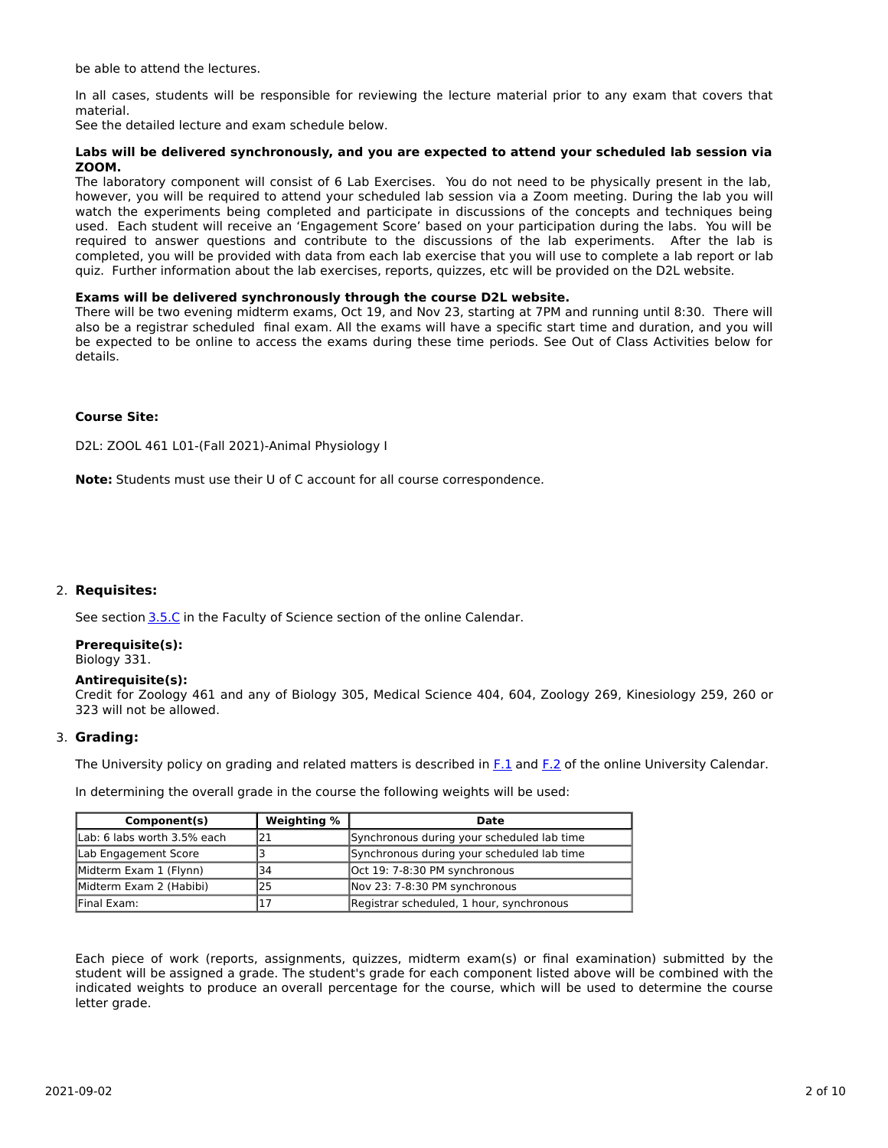be able to attend the lectures.

In all cases, students will be responsible for reviewing the lecture material prior to any exam that covers that material.

See the detailed lecture and exam schedule below.

## **Labs will be delivered synchronously, and you are expected to attend your scheduled lab session via ZOOM.**

The laboratory component will consist of 6 Lab Exercises. You do not need to be physically present in the lab, however, you will be required to attend your scheduled lab session via a Zoom meeting. During the lab you will watch the experiments being completed and participate in discussions of the concepts and techniques being used. Each student will receive an 'Engagement Score' based on your participation during the labs. You will be required to answer questions and contribute to the discussions of the lab experiments. After the lab is completed, you will be provided with data from each lab exercise that you will use to complete a lab report or lab quiz. Further information about the lab exercises, reports, quizzes, etc will be provided on the D2L website.

#### **Exams will be delivered synchronously through the course D2L website.**

There will be two evening midterm exams, Oct 19, and Nov 23, starting at 7PM and running until 8:30. There will also be a registrar scheduled final exam. All the exams will have a specific start time and duration, and you will be expected to be online to access the exams during these time periods. See Out of Class Activities below for details.

#### **Course Site:**

D2L: ZOOL 461 L01-(Fall 2021)-Animal Physiology I

**Note:** Students must use their U of C account for all course correspondence.

## 2. **Requisites:**

See section [3.5.C](http://www.ucalgary.ca/pubs/calendar/current/sc-3-5.html) in the Faculty of Science section of the online Calendar.

# **Prerequisite(s):**

Biology 331.

#### **Antirequisite(s):**

Credit for Zoology 461 and any of Biology 305, Medical Science 404, 604, Zoology 269, Kinesiology 259, 260 or 323 will not be allowed.

## 3. **Grading:**

The University policy on grading and related matters is described in [F.1](http://www.ucalgary.ca/pubs/calendar/current/f-1.html) and [F.2](http://www.ucalgary.ca/pubs/calendar/current/f-2.html) of the online University Calendar.

In determining the overall grade in the course the following weights will be used:

| Component(s)                | Weighting % | Date                                       |
|-----------------------------|-------------|--------------------------------------------|
| Lab: 6 labs worth 3.5% each |             | Synchronous during your scheduled lab time |
| Lab Engagement Score        |             | Synchronous during your scheduled lab time |
| Midterm Exam 1 (Flynn)      | 34          | Oct 19: 7-8:30 PM synchronous              |
| Midterm Exam 2 (Habibi)     | 25          | Nov 23: 7-8:30 PM synchronous              |
| <b>IFinal Exam:</b>         |             | Registrar scheduled, 1 hour, synchronous   |

Each piece of work (reports, assignments, quizzes, midterm exam(s) or final examination) submitted by the student will be assigned a grade. The student's grade for each component listed above will be combined with the indicated weights to produce an overall percentage for the course, which will be used to determine the course letter grade.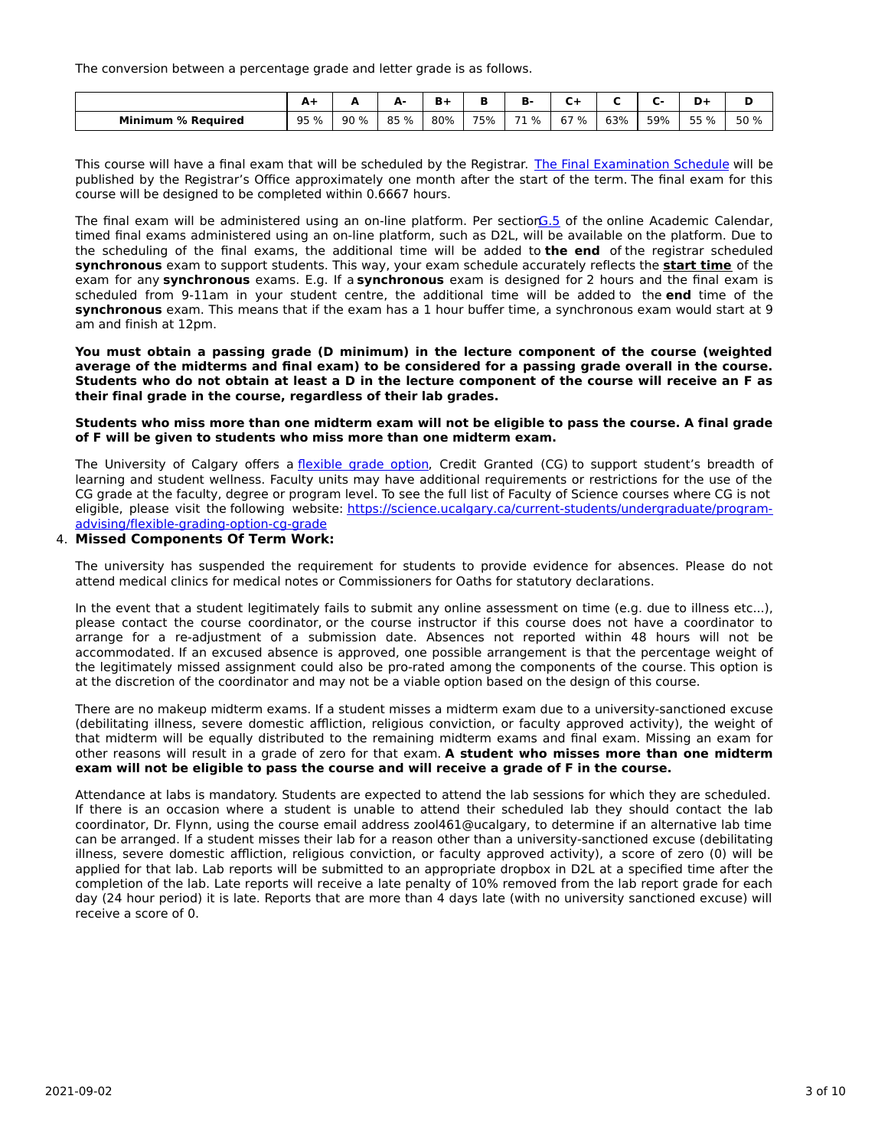The conversion between a percentage grade and letter grade is as follows.

|                              | -           | -   | А.<br>- | - - |     | . .  |      |     |     | -<br>.<br>- | Ð<br>н |
|------------------------------|-------------|-----|---------|-----|-----|------|------|-----|-----|-------------|--------|
| <b>Minimum</b><br>% Reauired | 95 %<br>ر ر | 90% | 85 %    | 80% | 75% | 71 % | 67 % | 63% | 59% | 55 %<br>--  | 50 %   |

This course will have a final exam that will be scheduled by the Registrar. The Final [Examination](https://www.ucalgary.ca/registrar/exams) Schedule will be published by the Registrar's Office approximately one month after the start of the term. The final exam for this course will be designed to be completed within 0.6667 hours.

The final exam will be administered using an on-line platform. Per section G.5 of the online Academic Calendar, timed final exams administered using an on-line platform, such as D2L, will be available on the platform. Due to the scheduling of the final exams, the additional time will be added to **the end** of the registrar scheduled **synchronous** exam to support students. This way, your exam schedule accurately reflects the **start time** of the exam for any **synchronous** exams. E.g. If a **synchronous** exam is designed for 2 hours and the final exam is scheduled from 9-11am in your student centre, the additional time will be added to the **end** time of the **synchronous** exam. This means that if the exam has a 1 hour buffer time, a synchronous exam would start at 9 am and finish at 12pm.

**You must obtain a passing grade (D minimum) in the lecture component of the course (weighted** average of the midterms and final exam) to be considered for a passing grade overall in the course. Students who do not obtain at least a D in the lecture component of the course will receive an F as **their final grade in the course, regardless of their lab grades.**

#### Students who miss more than one midterm exam will not be eligible to pass the course. A final grade **of F will be given to students who miss more than one midterm exam.**

The University of Calgary offers a [flexible](https://www.ucalgary.ca/pubs/calendar/current/f-1-3.html) grade option, Credit Granted (CG) to support student's breadth of learning and student wellness. Faculty units may have additional requirements or restrictions for the use of the CG grade at the faculty, degree or program level. To see the full list of Faculty of Science courses where CG is not eligible, please visit the following website: [https://science.ucalgary.ca/current-students/undergraduate/program](https://science.ucalgary.ca/current-students/undergraduate/program-advising/flexible-grading-option-cg-grade)advising/flexible-grading-option-cg-grade

#### 4. **Missed Components Of Term Work:**

The university has suspended the requirement for students to provide evidence for absences. Please do not attend medical clinics for medical notes or Commissioners for Oaths for statutory declarations.

In the event that a student legitimately fails to submit any online assessment on time (e.g. due to illness etc...), please contact the course coordinator, or the course instructor if this course does not have a coordinator to arrange for a re-adjustment of a submission date. Absences not reported within 48 hours will not be accommodated. If an excused absence is approved, one possible arrangement is that the percentage weight of the legitimately missed assignment could also be pro-rated among the components of the course. This option is at the discretion of the coordinator and may not be a viable option based on the design of this course.

There are no makeup midterm exams. If a student misses a midterm exam due to a university-sanctioned excuse (debilitating illness, severe domestic affliction, religious conviction, or faculty approved activity), the weight of that midterm will be equally distributed to the remaining midterm exams and final exam. Missing an exam for other reasons will result in a grade of zero for that exam. **A student who misses more than one midterm exam will not be eligible to pass the course and will receive a grade of F in the course.**

Attendance at labs is mandatory. Students are expected to attend the lab sessions for which they are scheduled. If there is an occasion where a student is unable to attend their scheduled lab they should contact the lab coordinator, Dr. Flynn, using the course email address zool461@ucalgary, to determine if an alternative lab time can be arranged. If a student misses their lab for a reason other than a university-sanctioned excuse (debilitating illness, severe domestic affliction, religious conviction, or faculty approved activity), a score of zero (0) will be applied for that lab. Lab reports will be submitted to an appropriate dropbox in D2L at a specified time after the completion of the lab. Late reports will receive a late penalty of 10% removed from the lab report grade for each day (24 hour period) it is late. Reports that are more than 4 days late (with no university sanctioned excuse) will receive a score of 0.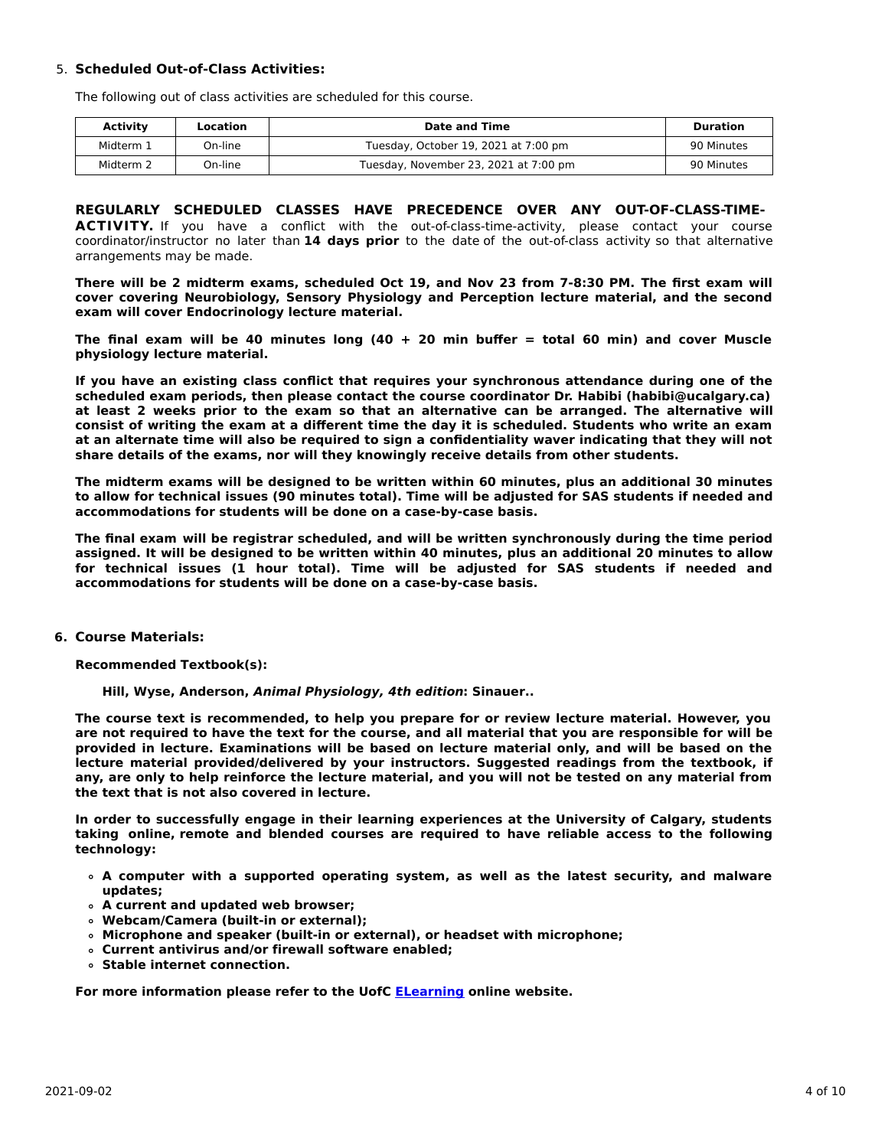# 5. **Scheduled Out-of-Class Activities:**

The following out of class activities are scheduled for this course.

| Activity  | Location | Date and Time                         | Duration   |
|-----------|----------|---------------------------------------|------------|
| Midterm 1 | On-line  | Tuesday, October 19, 2021 at 7:00 pm  | 90 Minutes |
| Midterm 2 | On-line  | Tuesday, November 23, 2021 at 7:00 pm | 90 Minutes |

**REGULARLY SCHEDULED CLASSES HAVE PRECEDENCE OVER ANY OUT-OF-CLASS-TIME-ACTIVITY.** If you have a conflict with the out-of-class-time-activity, please contact your course coordinator/instructor no later than **14 days prior** to the date of the out-of-class activity so that alternative arrangements may be made.

There will be 2 midterm exams, scheduled Oct 19, and Nov 23 from 7-8:30 PM. The first exam will **cover covering Neurobiology, Sensory Physiology and Perception lecture material, and the second exam will cover Endocrinology lecture material.**

The final exam will be 40 minutes long  $(40 + 20$  min buffer = total 60 min) and cover Muscle **physiology lecture material.**

**If you have an existing class conflict that requires your synchronous attendance during one of the scheduled exam periods, then please contact the course coordinator Dr. Habibi (habibi@ucalgary.ca) at least 2 weeks prior to the exam so that an alternative can be arranged. The alternative will** consist of writing the exam at a different time the day it is scheduled. Students who write an exam at an alternate time will also be required to sign a confidentiality waver indicating that they will not **share details of the exams, nor will they knowingly receive details from other students.**

**The midterm exams will be designed to be written within 60 minutes, plus an additional 30 minutes** to allow for technical issues (90 minutes total). Time will be adjusted for SAS students if needed and **accommodations for students will be done on a case-by-case basis.**

**The final exam will be registrar scheduled, and will be written synchronously during the time period** assigned. It will be designed to be written within 40 minutes, plus an additional 20 minutes to allow **for technical issues (1 hour total). Time will be adjusted for SAS students if needed and accommodations for students will be done on a case-by-case basis.**

## **6. Course Materials:**

**Recommended Textbook(s):**

**Hill, Wyse, Anderson, Animal Physiology, 4th edition: Sinauer..**

**The course text is recommended, to help you prepare for or review lecture material. However, you** are not required to have the text for the course, and all material that you are responsible for will be **provided in lecture. Examinations will be based on lecture material only, and will be based on the lecture material provided/delivered by your instructors. Suggested readings from the textbook, if** any, are only to help reinforce the lecture material, and you will not be tested on any material from **the text that is not also covered in lecture.**

**In order to successfully engage in their learning experiences at the University of Calgary, students taking online, remote and blended courses are required to have reliable access to the following technology:**

- **A computer with a supported operating system, as well as the latest security, and malware updates;**
- **A current and updated web browser;**
- **Webcam/Camera (built-in or external);**
- **Microphone and speaker (built-in or external), or headset with microphone;**
- **Current antivirus and/or firewall software enabled;**
- **Stable internet connection.**

**For more information please refer to the UofC [ELearning](https://elearn.ucalgary.ca/technology-requirements-for-students) online website.**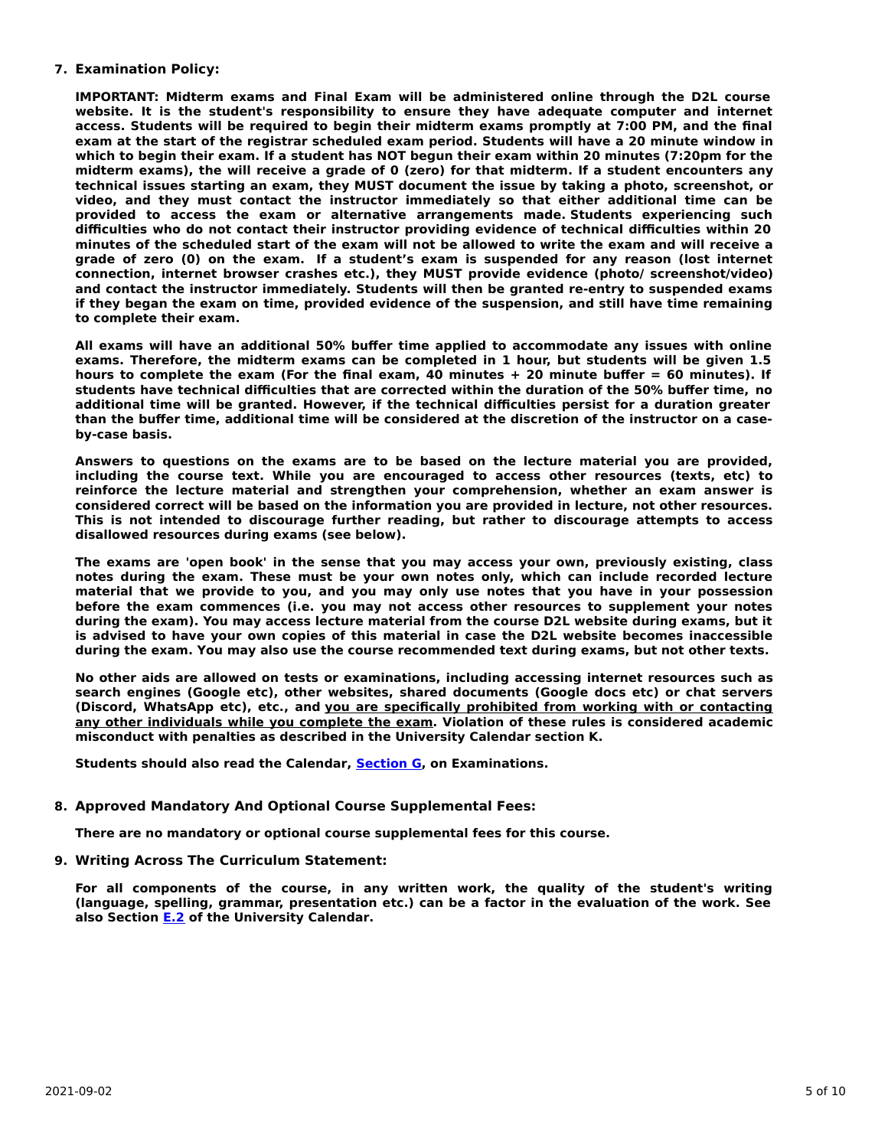## **7. Examination Policy:**

**IMPORTANT: Midterm exams and Final Exam will be administered online through the D2L course website. It is the student's responsibility to ensure they have adequate computer and internet access. Students will be required to begin their midterm exams promptly at 7:00 PM, and the final exam at the start of the registrar scheduled exam period. Students will have a 20 minute window in** which to begin their exam. If a student has NOT begun their exam within 20 minutes (7:20pm for the **midterm exams), the will receive a grade of 0 (zero) for that midterm. If a student encounters any technical issues starting an exam, they MUST document the issue by taking a photo, screenshot, or video, and they must contact the instructor immediately so that either additional time can be provided to access the exam or alternative arrangements made. Students experiencing such difficulties who do not contact their instructor providing evidence of technical difficulties within 20** minutes of the scheduled start of the exam will not be allowed to write the exam and will receive a **grade of zero (0) on the exam. If a student's exam is suspended for any reason (lost internet connection, internet browser crashes etc.), they MUST provide evidence (photo/ screenshot/video) and contact the instructor immediately. Students will then be granted re-entry to suspended exams if they began the exam on time, provided evidence of the suspension, and still have time remaining to complete their exam.**

**All exams will have an additional 50% buffer time applied to accommodate any issues with online exams. Therefore, the midterm exams can be completed in 1 hour, but students will be given 1.5** hours to complete the exam (For the final exam, 40 minutes  $+$  20 minute buffer = 60 minutes). If **students have technical difficulties that are corrected within the duration of the 50% buffer time, no additional time will be granted. However, if the technical difficulties persist for a duration greater** than the buffer time, additional time will be considered at the discretion of the instructor on a case**by-case basis.**

**Answers to questions on the exams are to be based on the lecture material you are provided, including the course text. While you are encouraged to access other resources (texts, etc) to reinforce the lecture material and strengthen your comprehension, whether an exam answer is considered correct will be based on the information you are provided in lecture, not other resources. This is not intended to discourage further reading, but rather to discourage attempts to access disallowed resources during exams (see below).**

**The exams are 'open book' in the sense that you may access your own, previously existing, class notes during the exam. These must be your own notes only, which can include recorded lecture material that we provide to you, and you may only use notes that you have in your possession before the exam commences (i.e. you may not access other resources to supplement your notes during the exam). You may access lecture material from the course D2L website during exams, but it is advised to have your own copies of this material in case the D2L website becomes inaccessible during the exam. You may also use the course recommended text during exams, but not other texts.**

**No other aids are allowed on tests or examinations, including accessing internet resources such as search engines (Google etc), other websites, shared documents (Google docs etc) or chat servers (Discord, WhatsApp etc), etc., and you are specifically prohibited from working with or contacting any other individuals while you complete the exam. Violation of these rules is considered academic misconduct with penalties as described in the University Calendar section K.**

**Students should also read the Calendar, [Section](http://www.ucalgary.ca/pubs/calendar/current/g.html) G, on Examinations.**

## **8. Approved Mandatory And Optional Course Supplemental Fees:**

**There are no mandatory or optional course supplemental fees for this course.**

**9. Writing Across The Curriculum Statement:**

**For all components of the course, in any written work, the quality of the student's writing (language, spelling, grammar, presentation etc.) can be a factor in the evaluation of the work. See also Section [E.2](http://www.ucalgary.ca/pubs/calendar/current/e-2.html) of the University Calendar.**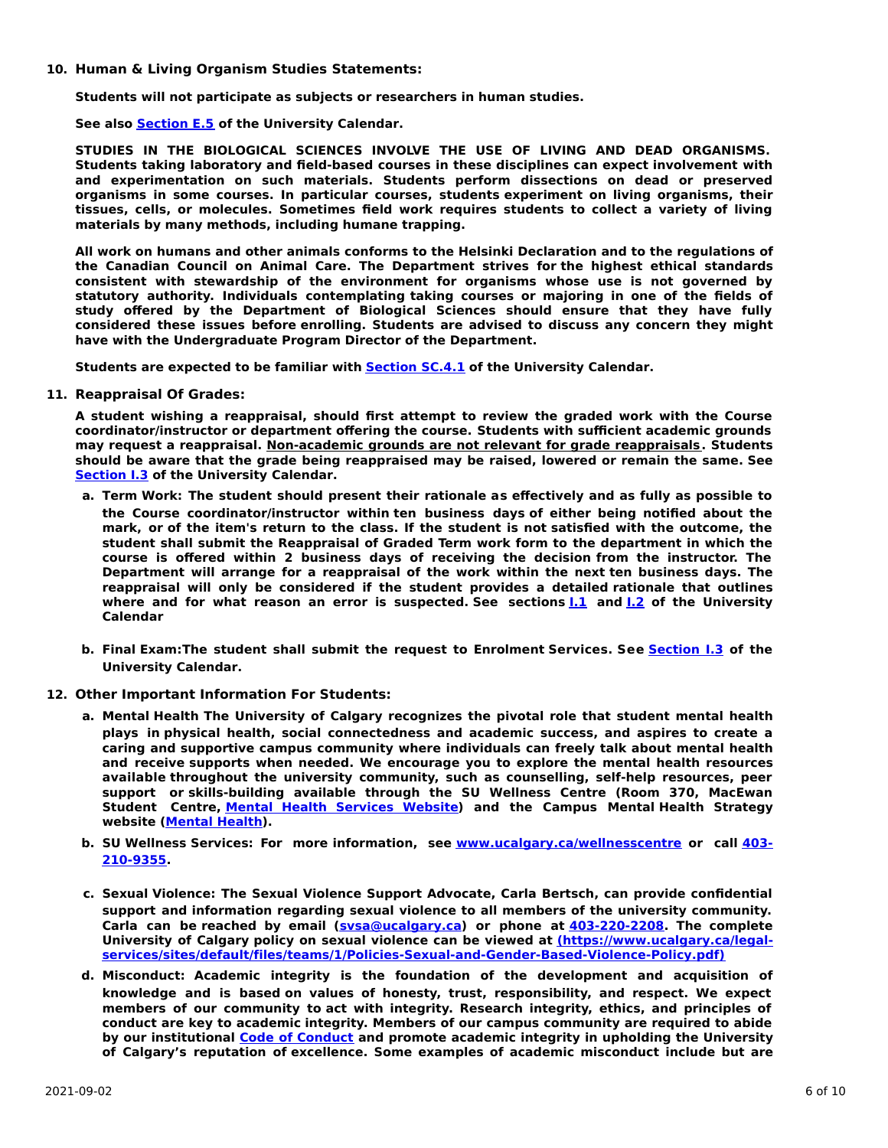#### **10. Human & Living Organism Studies Statements:**

**Students will not participate as subjects or researchers in human studies.**

**See also [Section](http://www.ucalgary.ca/pubs/calendar/current/e-5.html) E.5 of the University Calendar.**

**STUDIES IN THE BIOLOGICAL SCIENCES INVOLVE THE USE OF LIVING AND DEAD ORGANISMS. Students taking laboratory and field-based courses in these disciplines can expect involvement with and experimentation on such materials. Students perform dissections on dead or preserved organisms in some courses. In particular courses, students experiment on living organisms, their tissues, cells, or molecules. Sometimes field work requires students to collect a variety of living materials by many methods, including humane trapping.**

**All work on humans and other animals conforms to the Helsinki Declaration and to the regulations of the Canadian Council on Animal Care. The Department strives for the highest ethical standards consistent with stewardship of the environment for organisms whose use is not governed by statutory authority. Individuals contemplating taking courses or majoring in one of the fields of study offered by the Department of Biological Sciences should ensure that they have fully considered these issues before enrolling. Students are advised to discuss any concern they might have with the Undergraduate Program Director of the Department.**

**Students are expected to be familiar with [Section](http://www.ucalgary.ca/pubs/calendar/current/sc-4-1.html) SC.4.1 of the University Calendar.**

**11. Reappraisal Of Grades:**

**A student wishing a reappraisal, should first attempt to review the graded work with the Course coordinator/instructor or department offering the course. Students with sufficient academic grounds may request a reappraisal. Non-academic grounds are not relevant for grade reappraisals. Students should be aware that the grade being reappraised may be raised, lowered or remain the same. See [Section](http://www.ucalgary.ca/pubs/calendar/current/i-3.html) I.3 of the University Calendar.**

- **a. Term Work: The student should present their rationale as effectively and as fully as possible to the Course coordinator/instructor within ten business days of either being notified about the** mark, or of the item's return to the class. If the student is not satisfied with the outcome, the **student shall submit the Reappraisal of Graded Term work form to the department in which the course is offered within 2 business days of receiving the decision from the instructor. The Department will arrange for a reappraisal of the work within the next ten business days. The reappraisal will only be considered if the student provides a detailed rationale that outlines where and for what reason an error is suspected. See sections [I.1](http://www.ucalgary.ca/pubs/calendar/current/i-1.html) and [I.2](http://www.ucalgary.ca/pubs/calendar/current/i-2.html) of the University Calendar**
- **b. Final Exam:The student shall submit the request to Enrolment Services. See [Section](http://www.ucalgary.ca/pubs/calendar/current/i-3.html) I.3 of the University Calendar.**
- **12. Other Important Information For Students:**
	- **a. Mental Health The University of Calgary recognizes the pivotal role that student mental health plays in physical health, social connectedness and academic success, and aspires to create a caring and supportive campus community where individuals can freely talk about mental health and receive supports when needed. We encourage you to explore the mental health resources available throughout the university community, such as counselling, self-help resources, peer support or skills-building available through the SU Wellness Centre (Room 370, MacEwan Student Centre, Mental Health [Services](https://www.ucalgary.ca/wellnesscentre/services/mental-health-services) Website) and the Campus Mental Health Strategy website [\(Mental](http://www.ucalgary.ca/mentalhealth) Health).**
	- **b. SU Wellness Services: For more information, see [www.ucalgary.ca/wellnesscentre](tel:4032109355) or call 403- 210-9355.**
	- **c. Sexual Violence: The Sexual Violence Support Advocate, Carla Bertsch, can provide confidential support and information regarding sexual violence to all members of the university community. Carla can be reached by email [\(svsa@ucalgary.ca](mailto:svsa@ucalgary.ca)) or phone at [403-220-2208](tel:4032202208). The complete University of Calgary policy on sexual violence can be viewed at (https://www.ucalgary.ca/legal[services/sites/default/files/teams/1/Policies-Sexual-and-Gender-Based-Violence-Policy.pdf\)](https://www.ucalgary.ca/legal-services/sites/default/files/teams/1/Policies-Sexual-and-Gender-Based-Violence-Policy.pdf)**
	- **d. Misconduct: Academic integrity is the foundation of the development and acquisition of knowledge and is based on values of honesty, trust, responsibility, and respect. We expect members of our community to act with integrity. Research integrity, ethics, and principles of conduct are key to academic integrity. Members of our campus community are required to abide by our institutional Code of [Conduct](https://www.ucalgary.ca/legal-services/sites/default/files/teams/1/Policies-Code-of-Conduct.pdf) and promote academic integrity in upholding the University of Calgary's reputation of excellence. Some examples of academic misconduct include but are**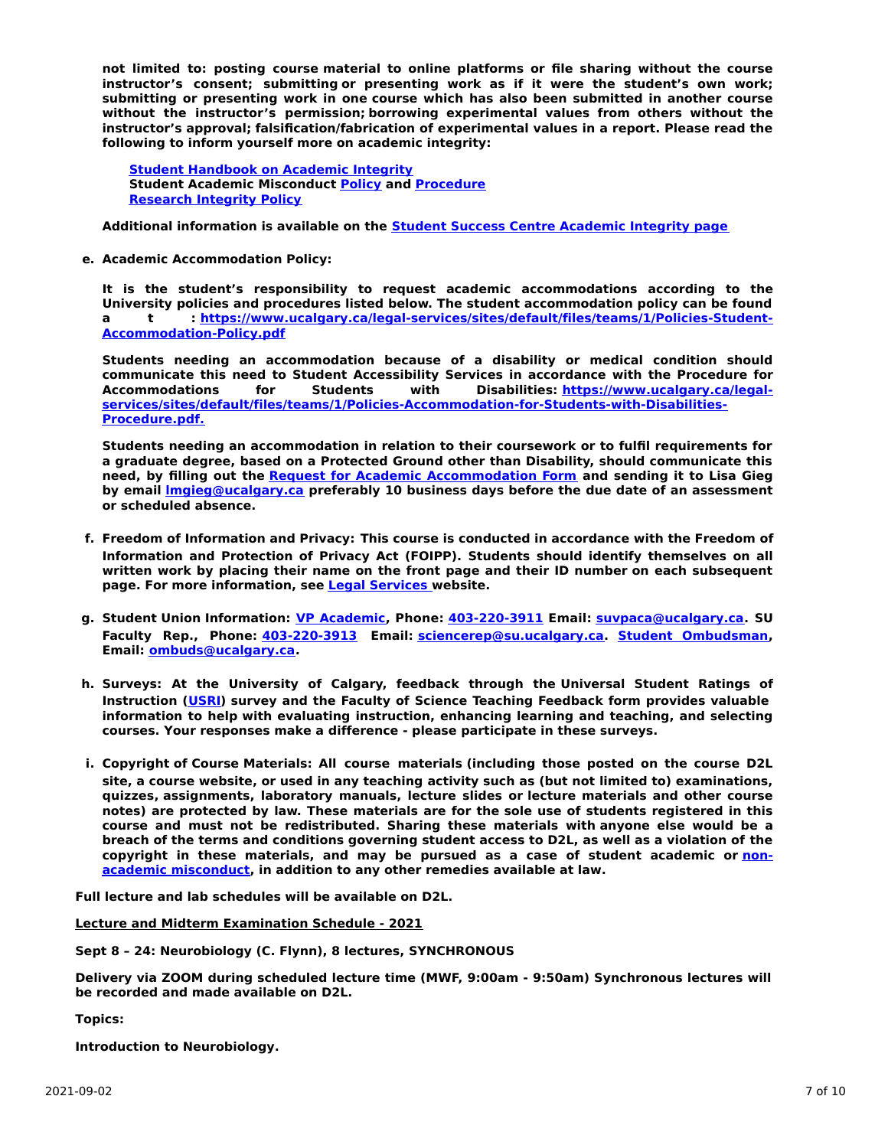**not limited to: posting course material to online platforms or file sharing without the course instructor's consent; submitting or presenting work as if it were the student's own work; submitting or presenting work in one course which has also been submitted in another course without the instructor's permission; borrowing experimental values from others without the instructor's approval; falsification/fabrication of experimental values in a report. Please read the following to inform yourself more on academic integrity:**

**Student [Handbook](https://www.ucalgary.ca/live-uc-ucalgary-site/sites/default/files/teams/9/AI-Student-handbook-1.pdf) on Academic Integrity Student Academic Misconduct [Policy](https://www.ucalgary.ca/legal-services/sites/default/files/teams/1/Policies-Student-Academic-Misconduct-Policy.pdf) and [Procedure](https://www.ucalgary.ca/legal-services/sites/default/files/teams/1/Policies-Student-Academic-Misconduct-Procedure.pdf) [Research](https://www.ucalgary.ca/legal-services/sites/default/files/teams/1/Policies-Research-Integrity-Policy.pdf) Integrity Policy**

**Additional information is available on the Student Success Centre [Academic](https://ucalgary.ca/student-services/student-success/learning/academic-integrity) Integrity page**

**e. Academic Accommodation Policy:**

**It is the student's responsibility to request academic accommodations according to the University policies and procedures listed below. The student accommodation policy can be found a t : [https://www.ucalgary.ca/legal-services/sites/default/files/teams/1/Policies-Student-](https://www.ucalgary.ca/legal-services/sites/default/files/teams/1/Policies-Student-Accommodation-Policy.pdf)Accommodation-Policy.pdf**

**Students needing an accommodation because of a disability or medical condition should communicate this need to Student Accessibility Services in accordance with the Procedure for Accommodations for Students with Disabilities: https://www.ucalgary.ca/legal[services/sites/default/files/teams/1/Policies-Accommodation-for-Students-with-Disabilities-](https://www.ucalgary.ca/legal-services/sites/default/files/teams/1/Policies-Accommodation-for-Students-with-Disabilities-Procedure.pdf)Procedure.pdf.**

**Students needing an accommodation in relation to their coursework or to fulfil requirements for a graduate degree, based on a Protected Ground other than Disability, should communicate this need, by filling out the Request for Academic [Accommodation](https://science.ucalgary.ca/sites/default/files/teams/1/request-accommodation-academic-courses.pdf) Form and sending it to Lisa Gieg by email [lmgieg@ucalgary.ca](mailto:lmgieg@ucalgary.ca) preferably 10 business days before the due date of an assessment or scheduled absence.**

- **f. Freedom of Information and Privacy: This course is conducted in accordance with the Freedom of Information and Protection of Privacy Act (FOIPP). Students should identify themselves on all written work by placing their name on the front page and their ID number on each subsequent page. For more information, see Legal [Services](https://www.ucalgary.ca/legal-services/access-information-privacy) website.**
- **g. Student Union Information: VP [Academic](http://www.su.ucalgary.ca/contact), Phone: [403-220-3911](tel:4032203911) Email: [suvpaca@ucalgary.ca](mailto:suvpaca@ucalgary.ca). SU Faculty Rep., Phone: [403-220-3913](tel:4032203913) Email: [sciencerep@su.ucalgary.ca](mailto:sciencerep@su.ucalgary.ca). Student [Ombudsman](https://www.ucalgary.ca/ombuds/), Email: [ombuds@ucalgary.ca](mailto:%20ombuds@ucalgary.ca).**
- **h. Surveys: At the University of Calgary, feedback through the Universal Student Ratings of Instruction ([USRI](http://www.ucalgary.ca/usri)) survey and the Faculty of Science Teaching Feedback form provides valuable information to help with evaluating instruction, enhancing learning and teaching, and selecting courses. Your responses make a difference - please participate in these surveys.**
- **i. Copyright of Course Materials: All course materials (including those posted on the course D2L site, a course website, or used in any teaching activity such as (but not limited to) examinations, quizzes, assignments, laboratory manuals, lecture slides or lecture materials and other course notes) are protected by law. These materials are for the sole use of students registered in this course and must not be redistributed. Sharing these materials with anyone else would be a breach of the terms and conditions governing student access to D2L, as well as a violation of the copyright in these materials, and may be pursued as a case of student academic or nonacademic [misconduct,](https://www.ucalgary.ca/conduct/policy/non-academic-misconduct-policy) in addition to any other remedies available at law.**

**Full lecture and lab schedules will be available on D2L.**

**Lecture and Midterm Examination Schedule - 2021**

**Sept 8 – 24: Neurobiology (C. Flynn), 8 lectures, SYNCHRONOUS**

**Delivery via ZOOM during scheduled lecture time (MWF, 9:00am - 9:50am) Synchronous lectures will be recorded and made available on D2L.**

# **Topics:**

**Introduction to Neurobiology.**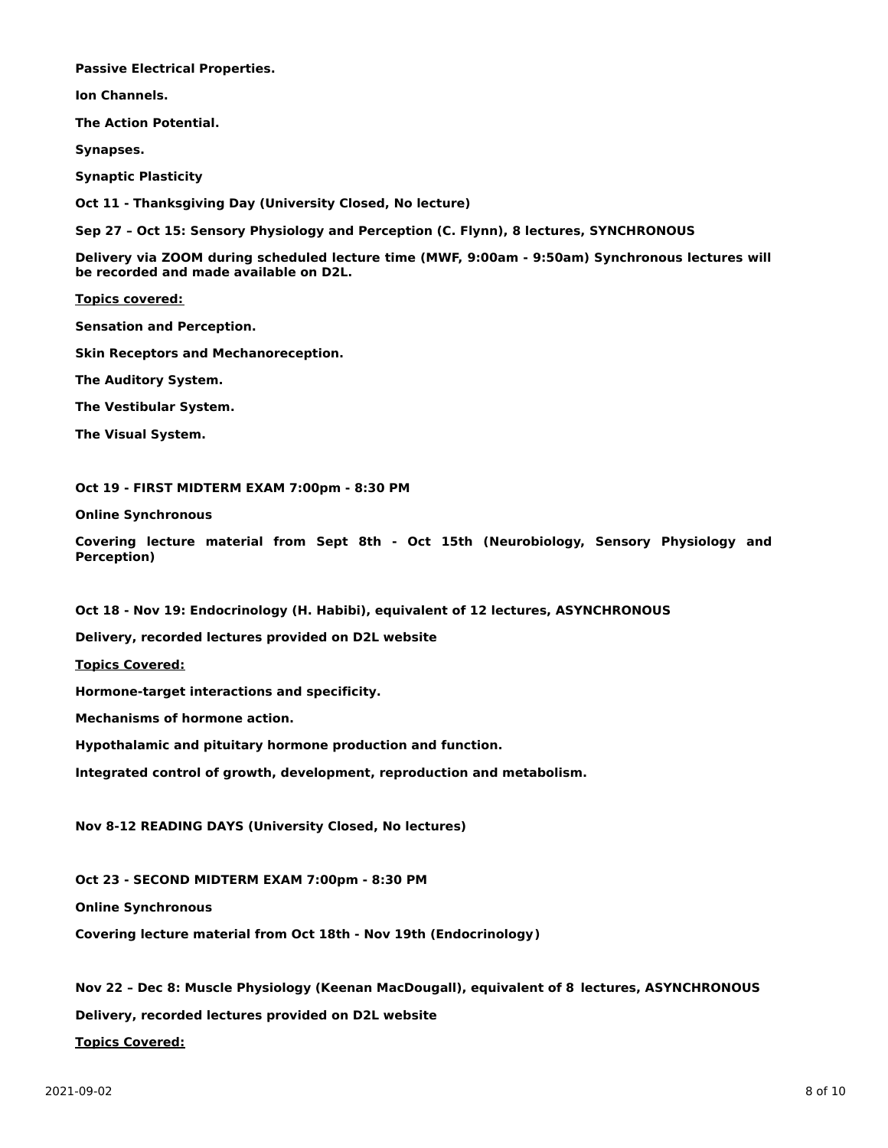**Passive Electrical Properties.**

**Ion Channels.**

**The Action Potential.**

**Synapses.**

**Synaptic Plasticity**

**Oct 11 - Thanksgiving Day (University Closed, No lecture)**

**Sep 27 – Oct 15: Sensory Physiology and Perception (C. Flynn), 8 lectures, SYNCHRONOUS**

**Delivery via ZOOM during scheduled lecture time (MWF, 9:00am - 9:50am) Synchronous lectures will be recorded and made available on D2L.**

**Topics covered:**

**Sensation and Perception.**

**Skin Receptors and Mechanoreception.**

**The Auditory System.**

**The Vestibular System.**

**The Visual System.**

**Oct 19 - FIRST MIDTERM EXAM 7:00pm - 8:30 PM**

**Online Synchronous**

**Covering lecture material from Sept 8th - Oct 15th (Neurobiology, Sensory Physiology and Perception)**

**Oct 18 - Nov 19: Endocrinology (H. Habibi), equivalent of 12 lectures, ASYNCHRONOUS**

**Delivery, recorded lectures provided on D2L website**

**Topics Covered:**

**Hormone-target interactions and specificity.**

**Mechanisms of hormone action.**

**Hypothalamic and pituitary hormone production and function.**

**Integrated control of growth, development, reproduction and metabolism.**

**Nov 8-12 READING DAYS (University Closed, No lectures)**

**Oct 23 - SECOND MIDTERM EXAM 7:00pm - 8:30 PM**

**Online Synchronous**

**Covering lecture material from Oct 18th - Nov 19th (Endocrinology)**

**Nov 22 – Dec 8: Muscle Physiology (Keenan MacDougall), equivalent of 8 lectures, ASYNCHRONOUS**

**Delivery, recorded lectures provided on D2L website**

**Topics Covered:**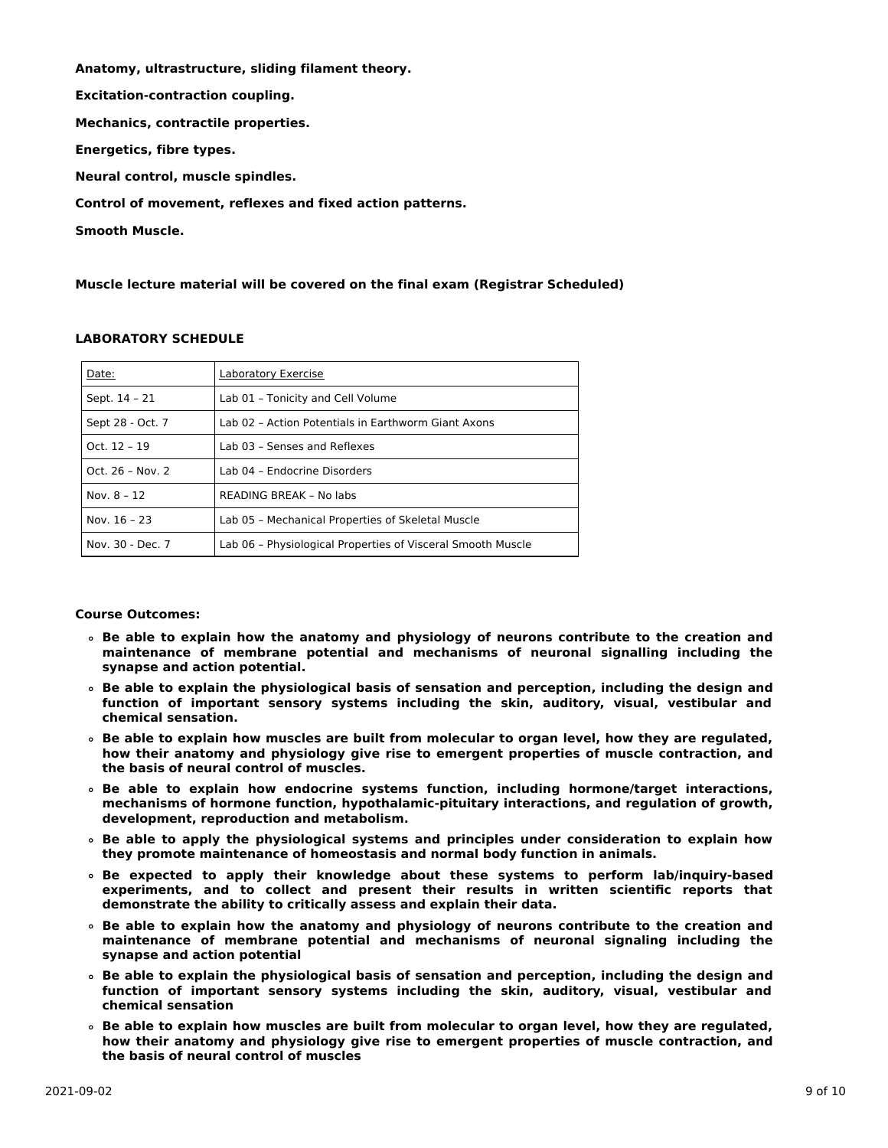**Anatomy, ultrastructure, sliding filament theory. Excitation-contraction coupling. Mechanics, contractile properties. Energetics, fibre types. Neural control, muscle spindles. Control of movement, reflexes and fixed action patterns. Smooth Muscle.**

**Muscle lecture material will be covered on the final exam (Registrar Scheduled)**

## **LABORATORY SCHEDULE**

| Date:            | Laboratory Exercise                                         |
|------------------|-------------------------------------------------------------|
| Sept. 14 - 21    | Lab 01 - Tonicity and Cell Volume                           |
| Sept 28 - Oct. 7 | Lab 02 - Action Potentials in Earthworm Giant Axons         |
| Oct. $12 - 19$   | Lab 03 - Senses and Reflexes                                |
| Oct. 26 - Nov. 2 | Lab 04 - Endocrine Disorders                                |
| Nov. $8 - 12$    | READING BREAK - No labs                                     |
| Nov. 16 - 23     | Lab 05 - Mechanical Properties of Skeletal Muscle           |
| Nov. 30 - Dec. 7 | Lab 06 - Physiological Properties of Visceral Smooth Muscle |

# **Course Outcomes:**

- **Be able to explain how the anatomy and physiology of neurons contribute to the creation and maintenance of membrane potential and mechanisms of neuronal signalling including the synapse and action potential.**
- **Be able to explain the physiological basis of sensation and perception, including the design and function of important sensory systems including the skin, auditory, visual, vestibular and chemical sensation.**
- **Be able to explain how muscles are built from molecular to organ level, how they are regulated, how their anatomy and physiology give rise to emergent properties of muscle contraction, and the basis of neural control of muscles.**
- **Be able to explain how endocrine systems function, including hormone/target interactions, mechanisms of hormone function, hypothalamic-pituitary interactions, and regulation of growth, development, reproduction and metabolism.**
- **Be able to apply the physiological systems and principles under consideration to explain how they promote maintenance of homeostasis and normal body function in animals.**
- **Be expected to apply their knowledge about these systems to perform lab/inquiry-based experiments, and to collect and present their results in written scientific reports that demonstrate the ability to critically assess and explain their data.**
- **Be able to explain how the anatomy and physiology of neurons contribute to the creation and maintenance of membrane potential and mechanisms of neuronal signaling including the synapse and action potential**
- **Be able to explain the physiological basis of sensation and perception, including the design and function of important sensory systems including the skin, auditory, visual, vestibular and chemical sensation**
- **Be able to explain how muscles are built from molecular to organ level, how they are regulated, how their anatomy and physiology give rise to emergent properties of muscle contraction, and the basis of neural control of muscles**